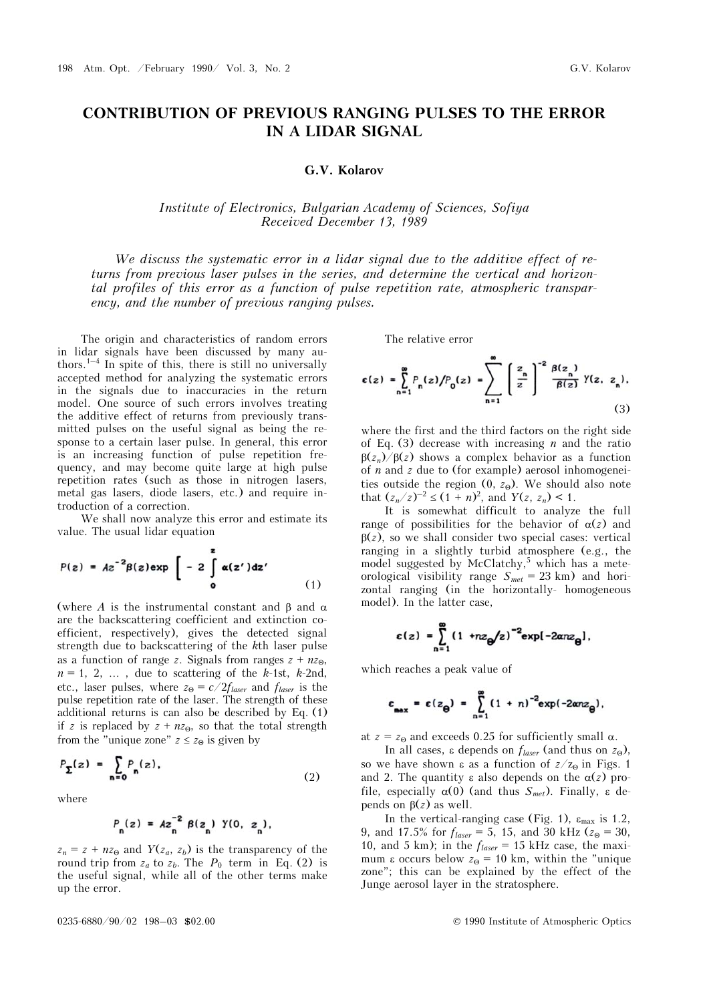# **CONTRIBUTION OF PREVIOUS RANGING PULSES TO THE ERROR IN A LIDAR SIGNAL**

#### **G.V. Kolarov**

## *Institute of Electronics, Bulgarian Academy of Sciences, Sofiya Received December 13, 1989*

*We discuss the systematic error in a lidar signal due to the additive effect of returns from previous laser pulses in the series, and determine the vertical and horizontal profiles of this error as a function of pulse repetition rate, atmospheric transparency, and the number of previous ranging pulses.* 

The origin and characteristics of random errors in lidar signals have been discussed by many authors.<sup>1–4</sup> In spite of this, there is still no universally accepted method for analyzing the systematic errors in the signals due to inaccuracies in the return model. One source of such errors involves treating the additive effect of returns from previously transmitted pulses on the useful signal as being the response to a certain laser pulse. In general, this error is an increasing function of pulse repetition frequency, and may become quite large at high pulse repetition rates (such as those in nitrogen lasers, metal gas lasers, diode lasers, etc.) and require introduction of a correction.

We shall now analyze this error and estimate its value. The usual lidar equation

$$
P(z) = Az^{-2}\beta(z)exp\left[-2\int_{0}^{z} \alpha(z')dz'\right]
$$
 (1)

(where *A* is the instrumental constant and  $\beta$  and  $\alpha$ are the backscattering coefficient and extinction coefficient, respectively), gives the detected signal strength due to backscattering of the *k*th laser pulse as a function of range *z*. Signals from ranges  $z + nz_0$ ,  $n = 1, 2, \ldots$ , due to scattering of the *k*-1st, *k*-2nd, etc., laser pulses, where  $z_{\Theta} = c/2f_{laser}$  and  $f_{laser}$  is the pulse repetition rate of the laser. The strength of these additional returns is can also be described by Eq. (1) if *z* is replaced by  $z + nz_0$ , so that the total strength from the "unique zone"  $z \le z_0$  is given by

$$
P_{\Sigma}(z) = \sum_{n=0} P_n(z), \qquad (2)
$$

where

$$
P_n(z) = Az_n^{-2} \beta(z_n) \gamma(0, z_n),
$$

 $z_n = z + nz_0$  and  $Y(z_a, z_b)$  is the transparency of the round trip from  $z_a$  to  $z_b$ . The  $P_0$  term in Eq. (2) is the useful signal, while all of the other terms make up the error.

The relative error

$$
\varepsilon(z) = \sum_{n=1}^{\infty} P_n(z) / P_0(z) = \sum_{n=1}^{\infty} \left[ \frac{z_n}{z} \right]^{-2} \frac{\beta(z_n)}{\beta(z)} \gamma(z, z_n), \tag{3}
$$

where the first and the third factors on the right side of Eq. (3) decrease with increasing *n* and the ratio  $\beta(z_n)/\beta(z)$  shows a complex behavior as a function of *n* and *z* due to (for example) aerosol inhomogeneities outside the region  $(0, z_0)$ . We should also note that  $(z_n/z)^{-2} \le (1 + n)^2$ , and  $Y(z, z_n) < 1$ .

It is somewhat difficult to analyze the full range of possibilities for the behavior of  $\alpha(z)$  and  $\beta(z)$ , so we shall consider two special cases: vertical ranging in a slightly turbid atmosphere (e.g., the model suggested by McClatchy,<sup>5</sup> which has a meteorological visibility range  $S_{met} = 23$  km) and horizontal ranging (in the horizontally- homogeneous model). In the latter case,

$$
\varepsilon(z) = \sum_{n=1}^{\infty} (1 + nz_{\theta}/z)^{-2} \exp[-2\alpha nz_{\theta}].
$$

which reaches a peak value of

$$
\varepsilon_{\max} = \varepsilon(z_{\Theta}) = \sum_{n=1}^{\infty} (1 + n)^{-2} \exp(-2\alpha n z_{\Theta}),
$$

at  $z = z_0$  and exceeds 0.25 for sufficiently small  $\alpha$ .

In all cases,  $\varepsilon$  depends on  $f_{laser}$  (and thus on  $z_{\Theta}$ ), so we have shown  $\varepsilon$  as a function of  $z/z_0$  in Figs. 1 and 2. The quantity  $\varepsilon$  also depends on the  $\alpha(z)$  profile, especially  $\alpha(0)$  (and thus  $S_{met}$ ). Finally,  $\varepsilon$  depends on  $\beta(z)$  as well.

In the vertical-ranging case (Fig. 1),  $\varepsilon_{\text{max}}$  is 1.2, 9, and 17.5% for  $f_{laser} = 5$ , 15, and 30 kHz ( $z_{\Theta} = 30$ , 10, and 5 km); in the  $f_{laser} = 15$  kHz case, the maximum  $\varepsilon$  occurs below  $z_{\Theta} = 10$  km, within the "unique zone"; this can be explained by the effect of the Junge aerosol layer in the stratosphere.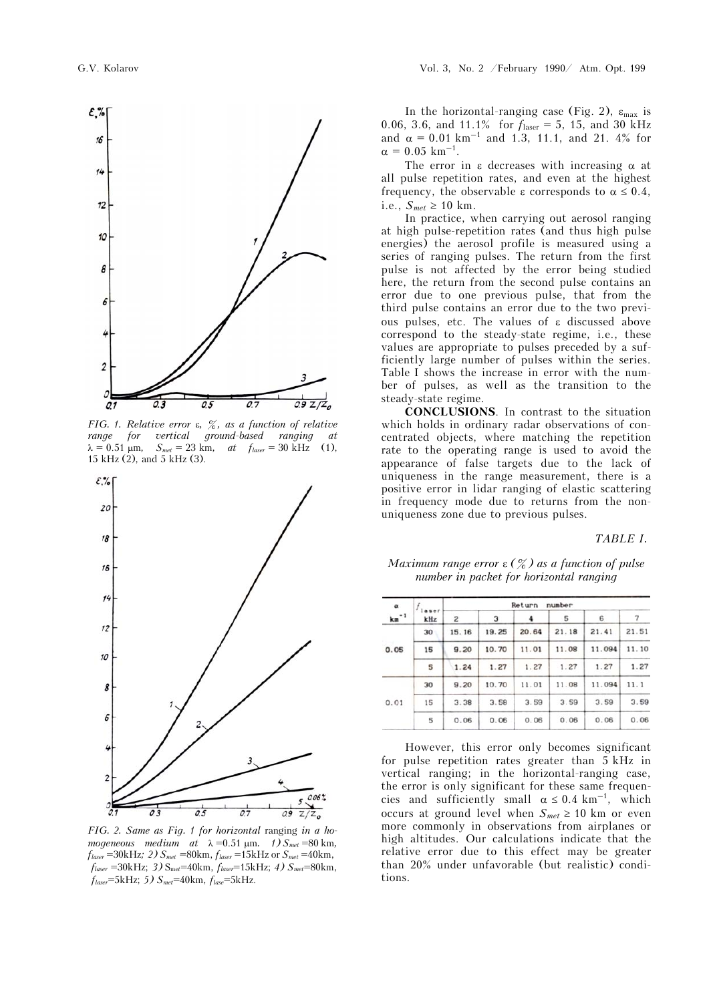

*FIG. 1. Relative error , %, as a function of relative range for vertical ground-based ranging at*   $\lambda = 0.51 \text{ µm}, \quad S_{\text{met}} = 23 \text{ km}, \quad \text{at} \quad f_{\text{laser}} = 30 \text{ kHz}$  (1), 15 kHz (2), and 5 kHz (3).



*FIG. 2. Same as Fig. 1 for horizontal* ranging *in a homogeneous medium at*  $\lambda = 0.51 \text{ }\mu\text{m}$ *. 1)*  $S_{\text{met}} = 80 \text{ }\mu\text{m}$ *,*  $f_{laser} = 30kHz$ ; 2)  $S_{met} = 80km$ ,  $f_{laser} = 15kHz$  or  $S_{met} = 40km$ , *flaser* =30kHz; *3)* Sme*t*=40km, *flaser*=15kHz; *4) Smet*=80km, *flaser*=5kHz; *5) Smet*=40km, *flase*=5kHz.

In the horizontal-ranging case (Fig. 2),  $\varepsilon_{\text{max}}$  is 0.06, 3.6, and 11.1% for *f*laser = 5, 15, and 30 kHz and  $\alpha = 0.01 \text{ km}^{-1}$  and 1.3, 11.1, and 21. 4% for  $\alpha = 0.05$  km<sup>-1</sup>.

The error in  $\varepsilon$  decreases with increasing  $\alpha$  at all pulse repetition rates, and even at the highest frequency, the observable  $\varepsilon$  corresponds to  $\alpha \leq 0.4$ , i.e.,  $S_{met} \geq 10$  km.

In practice, when carrying out aerosol ranging at high pulse-repetition rates (and thus high pulse energies) the aerosol profile is measured using a series of ranging pulses. The return from the first pulse is not affected by the error being studied here, the return from the second pulse contains an error due to one previous pulse, that from the third pulse contains an error due to the two previous pulses, etc. The values of  $\varepsilon$  discussed above correspond to the steady-state regime, i.e., these values are appropriate to pulses preceded by a sufficiently large number of pulses within the series. Table I shows the increase in error with the number of pulses, as well as the transition to the steady-state regime.

**CONCLUSIONS**. In contrast to the situation which holds in ordinary radar observations of concentrated objects, where matching the repetition rate to the operating range is used to avoid the appearance of false targets due to the lack of uniqueness in the range measurement, there is a positive error in lidar ranging of elastic scattering in frequency mode due to returns from the nonuniqueness zone due to previous pulses.

## *TABLE I.*

#### *Maximum range error*  $\varepsilon$  ( $\frac{\infty}{6}$ ) as a function of pulse *number in packet for horizontal ranging*

| $\alpha$<br>$km-1$ | kHz | Return<br>number |       |       |       |        |       |
|--------------------|-----|------------------|-------|-------|-------|--------|-------|
|                    |     | 2                | з     |       | 5     | 6      |       |
| 0.05               | 30  | 15.16            | 19.25 | 20.64 | 21.18 | 21.41  | 21.51 |
|                    | 15  | 9.20             | 10.70 | 11.01 | 11.08 | 11.094 | 11.10 |
|                    | 5   | 1.24             | 1.27  | 1.27  | 1.27  | 1.27   | 1.27  |
| 0.01               | 30  | 9.20             | 10.70 | 11.01 | 11.08 | 11.094 | 11.1  |
|                    | 15  | 3.38             | 3.58  | 3.59  | 3.59  | 3.59   | 3.59  |
|                    | 5   | 0.06             | 0.06  | 0.06  | 0.06  | 0.06   | 0.06  |
|                    |     |                  |       |       |       |        |       |

However, this error only becomes significant for pulse repetition rates greater than 5 kHz in vertical ranging; in the horizontal-ranging case, the error is only significant for these same frequencies and sufficiently small  $\alpha \leq 0.4$  km<sup>-1</sup>, which occurs at ground level when  $S_{met} \geq 10$  km or even more commonly in observations from airplanes or high altitudes. Our calculations indicate that the relative error due to this effect may be greater than 20% under unfavorable (but realistic) conditions.